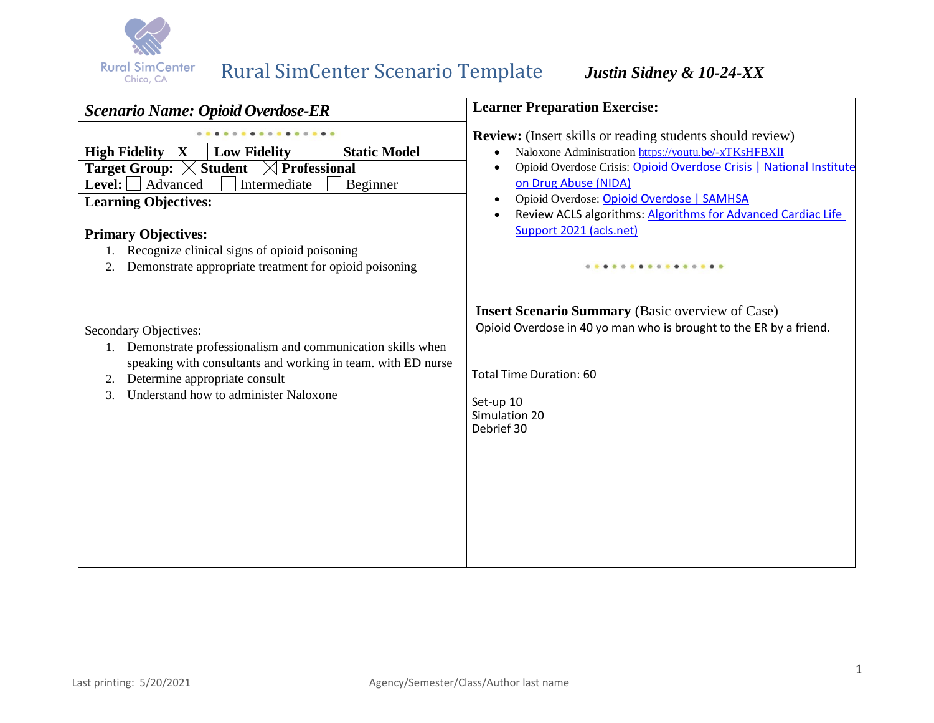

# Rural SimCenter Scenario Template *Justin Sidney & 10-24-XX*

| <b>Learner Preparation Exercise:</b>                                                                                                                                                                 |  |
|------------------------------------------------------------------------------------------------------------------------------------------------------------------------------------------------------|--|
| <b>Review:</b> (Insert skills or reading students should review)                                                                                                                                     |  |
| Naloxone Administration https://youtu.be/-xTKsHFBXII                                                                                                                                                 |  |
| Opioid Overdose Crisis: Opioid Overdose Crisis   National Institute                                                                                                                                  |  |
| on Drug Abuse (NIDA)                                                                                                                                                                                 |  |
| Opioid Overdose: Opioid Overdose   SAMHSA                                                                                                                                                            |  |
| Review ACLS algorithms: Algorithms for Advanced Cardiac Life                                                                                                                                         |  |
| Support 2021 (acls.net)                                                                                                                                                                              |  |
|                                                                                                                                                                                                      |  |
|                                                                                                                                                                                                      |  |
| <b>Insert Scenario Summary</b> (Basic overview of Case)<br>Opioid Overdose in 40 yo man who is brought to the ER by a friend.<br>Total Time Duration: 60<br>Set-up 10<br>Simulation 20<br>Debrief 30 |  |
|                                                                                                                                                                                                      |  |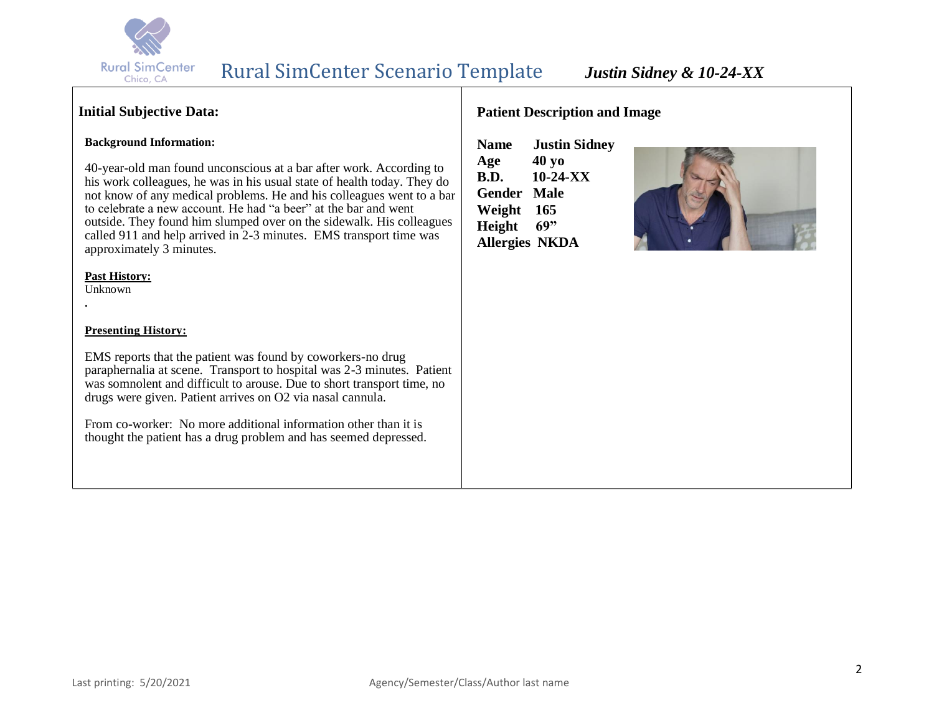

# **Initial Subjective Data:**

### **Background Information:**

40-year-old man found unconscious at a bar after work. According to his work colleagues, he was in his usual state of health today. They do not know of any medical problems. He and his colleagues went to a bar to celebrate a new account. He had "a beer" at the bar and went outside. They found him slumped over on the sidewalk. His colleagues called 911 and help arrived in 2-3 minutes. EMS transport time was approximately 3 minutes.

### **Past History:**

Unknown

**.**

### **Presenting History:**

EMS reports that the patient was found by coworkers-no drug paraphernalia at scene. Transport to hospital was 2-3 minutes. Patient was somnolent and difficult to arouse. Due to short transport time, no drugs were given. Patient arrives on O2 via nasal cannula.

From co-worker: No more additional information other than it is thought the patient has a drug problem and has seemed depressed.

### **Patient Description and Image**

**Name Justin Sidney Age 40 yo B.D. 10-24-XX Gender Male Weight 165 Height 69" Allergies NKDA**

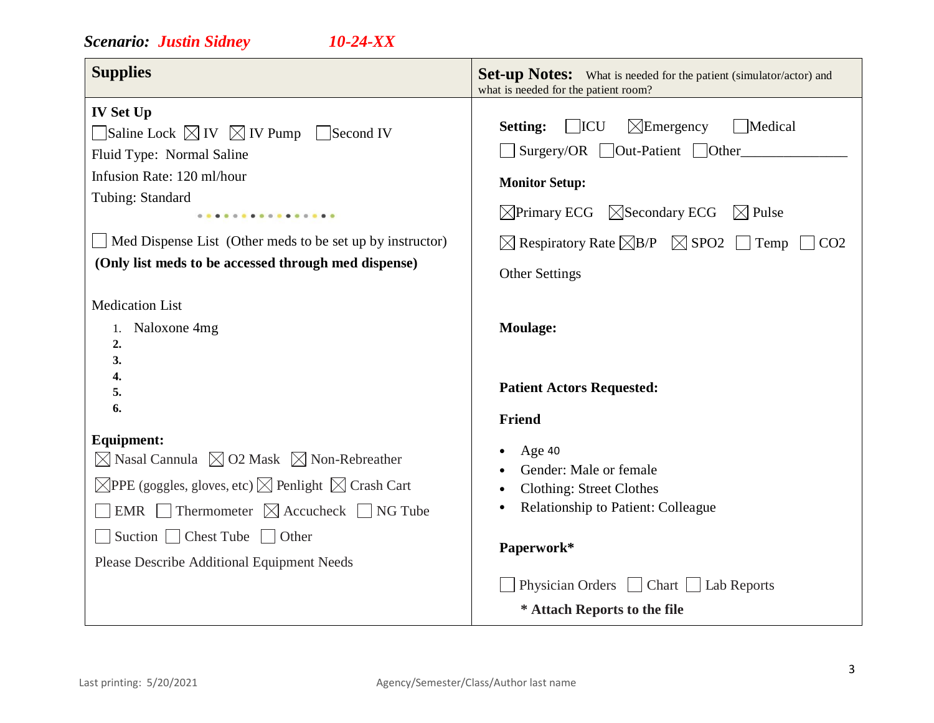# *Scenario: Justin Sidney 10-24-XX*

| <b>Supplies</b>                                                                                                                                                                                                                                                                                                                     | <b>Set-up Notes:</b> What is needed for the patient (simulator/actor) and<br>what is needed for the patient room?                                                                                                                                                                                                             |
|-------------------------------------------------------------------------------------------------------------------------------------------------------------------------------------------------------------------------------------------------------------------------------------------------------------------------------------|-------------------------------------------------------------------------------------------------------------------------------------------------------------------------------------------------------------------------------------------------------------------------------------------------------------------------------|
| <b>IV Set Up</b><br>Saline Lock $\boxtimes$ IV $\boxtimes$ IV Pump<br>Second IV<br>Fluid Type: Normal Saline<br>Infusion Rate: 120 ml/hour<br>Tubing: Standard<br>.<br>Med Dispense List (Other meds to be set up by instructor)<br>(Only list meds to be accessed through med dispense)                                            | $\Box$ ICU<br>$\boxtimes$ Emergency<br>Medical<br><b>Setting:</b><br>Surgery/OR Out-Patient Other<br><b>Monitor Setup:</b><br>$\boxtimes$ Primary ECG $\boxtimes$ Secondary ECG<br>$\boxtimes$ Pulse<br>$\boxtimes$ Respiratory Rate $\boxtimes$ B/P $\boxtimes$ SPO2 $\Box$ Temp<br>CO <sub>2</sub><br><b>Other Settings</b> |
| <b>Medication List</b><br>1. Naloxone 4mg<br>2.<br>3.<br>4.<br>5.<br>6.                                                                                                                                                                                                                                                             | <b>Moulage:</b><br><b>Patient Actors Requested:</b><br>Friend                                                                                                                                                                                                                                                                 |
| <b>Equipment:</b><br>$\boxtimes$ Nasal Cannula $\boxtimes$ O2 Mask $\boxtimes$ Non-Rebreather<br>$\boxtimes$ PPE (goggles, gloves, etc) $\boxtimes$ Penlight $\boxtimes$ Crash Cart<br>EMR Thermometer $\boxtimes$ Accucheck $\Box$ NG Tube<br>Suction $\Box$ Chest Tube $\Box$ Other<br>Please Describe Additional Equipment Needs | Age 40<br>Gender: Male or female<br><b>Clothing: Street Clothes</b><br><b>Relationship to Patient: Colleague</b><br>Paperwork*<br>Physician Orders Chart Lab Reports<br>* Attach Reports to the file                                                                                                                          |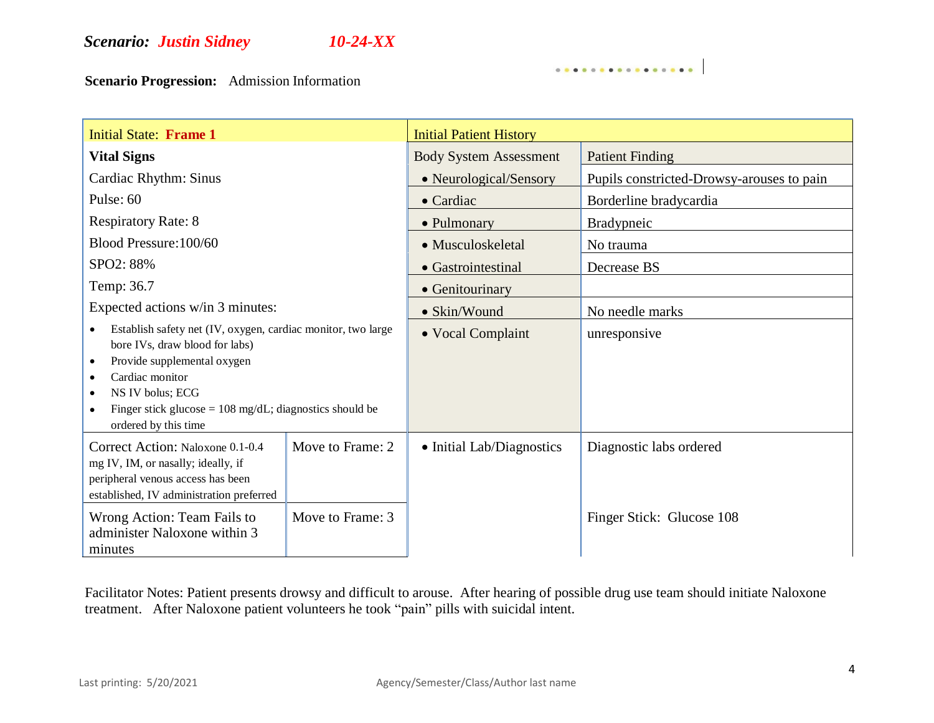# *Scenario: Justin Sidney 10-24-XX*

**Scenario Progression:** Admission Information

| <b>Initial State: Frame 1</b>                                                                                                                                                                                                                                                                     |                  | <b>Initial Patient History</b> |                                           |
|---------------------------------------------------------------------------------------------------------------------------------------------------------------------------------------------------------------------------------------------------------------------------------------------------|------------------|--------------------------------|-------------------------------------------|
| <b>Vital Signs</b>                                                                                                                                                                                                                                                                                |                  | <b>Body System Assessment</b>  | <b>Patient Finding</b>                    |
| Cardiac Rhythm: Sinus                                                                                                                                                                                                                                                                             |                  | • Neurological/Sensory         | Pupils constricted-Drowsy-arouses to pain |
| Pulse: 60                                                                                                                                                                                                                                                                                         |                  | $\bullet$ Cardiac              | Borderline bradycardia                    |
| <b>Respiratory Rate: 8</b>                                                                                                                                                                                                                                                                        |                  | • Pulmonary                    | <b>Bradypneic</b>                         |
| Blood Pressure: 100/60                                                                                                                                                                                                                                                                            |                  | • Musculoskeletal              | No trauma                                 |
| SPO2: 88%                                                                                                                                                                                                                                                                                         |                  | • Gastrointestinal             | Decrease BS                               |
| Temp: 36.7                                                                                                                                                                                                                                                                                        |                  | • Genitourinary                |                                           |
| Expected actions w/in 3 minutes:                                                                                                                                                                                                                                                                  |                  | • Skin/Wound                   | No needle marks                           |
| Establish safety net (IV, oxygen, cardiac monitor, two large<br>bore IVs, draw blood for labs)<br>Provide supplemental oxygen<br>$\bullet$<br>Cardiac monitor<br>٠<br>NS IV bolus; ECG<br>$\bullet$<br>Finger stick glucose = $108 \text{ mg/dL}$ ; diagnostics should be<br>ordered by this time |                  | • Vocal Complaint              | unresponsive                              |
| Correct Action: Naloxone 0.1-0.4<br>mg IV, IM, or nasally; ideally, if<br>peripheral venous access has been<br>established, IV administration preferred                                                                                                                                           | Move to Frame: 2 | • Initial Lab/Diagnostics      | Diagnostic labs ordered                   |
| Wrong Action: Team Fails to<br>administer Naloxone within 3<br>minutes                                                                                                                                                                                                                            | Move to Frame: 3 |                                | Finger Stick: Glucose 108                 |

. . . . . . . . . . . . . . . . .

Facilitator Notes: Patient presents drowsy and difficult to arouse. After hearing of possible drug use team should initiate Naloxone treatment. After Naloxone patient volunteers he took "pain" pills with suicidal intent.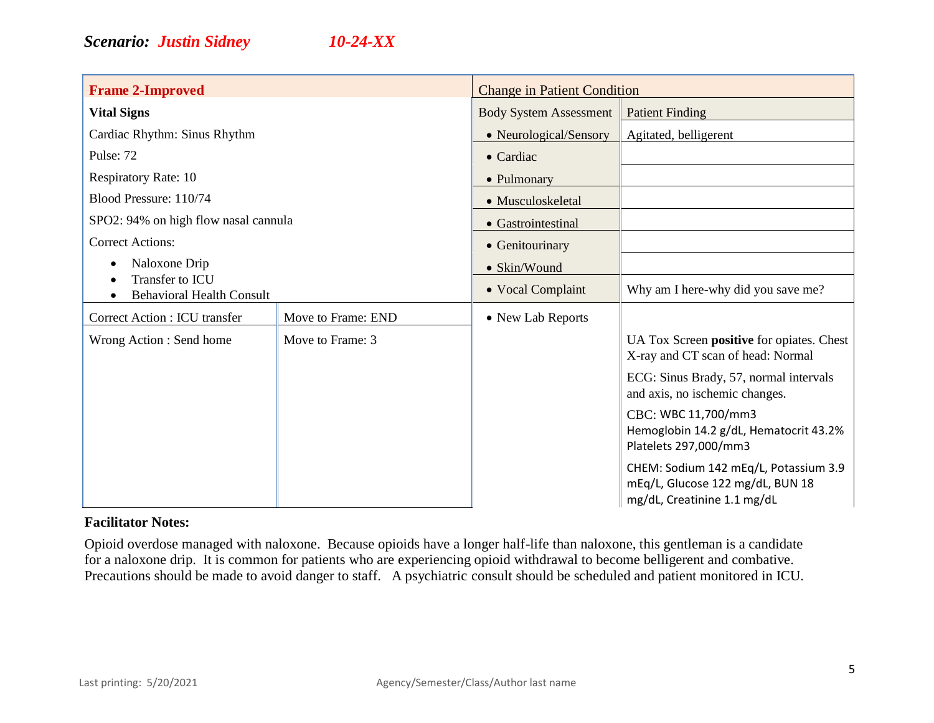| <b>Frame 2-Improved</b>                                                                   |                    | <b>Change in Patient Condition</b> |                                                                                                          |
|-------------------------------------------------------------------------------------------|--------------------|------------------------------------|----------------------------------------------------------------------------------------------------------|
| <b>Vital Signs</b>                                                                        |                    | <b>Body System Assessment</b>      | <b>Patient Finding</b>                                                                                   |
| Cardiac Rhythm: Sinus Rhythm                                                              |                    | • Neurological/Sensory             | Agitated, belligerent                                                                                    |
| Pulse: 72                                                                                 |                    | • Cardiac                          |                                                                                                          |
| <b>Respiratory Rate: 10</b>                                                               |                    | • Pulmonary                        |                                                                                                          |
| Blood Pressure: 110/74<br>SPO2: 94% on high flow nasal cannula<br><b>Correct Actions:</b> |                    | • Musculoskeletal                  |                                                                                                          |
|                                                                                           |                    | • Gastrointestinal                 |                                                                                                          |
|                                                                                           |                    | • Genitourinary                    |                                                                                                          |
| Naloxone Drip<br>Transfer to ICU<br><b>Behavioral Health Consult</b>                      |                    | • Skin/Wound                       |                                                                                                          |
|                                                                                           |                    | • Vocal Complaint                  | Why am I here-why did you save me?                                                                       |
| Correct Action : ICU transfer                                                             | Move to Frame: END | • New Lab Reports                  |                                                                                                          |
| Wrong Action: Send home                                                                   | Move to Frame: 3   |                                    | UA Tox Screen positive for opiates. Chest<br>X-ray and CT scan of head: Normal                           |
|                                                                                           |                    |                                    | ECG: Sinus Brady, 57, normal intervals<br>and axis, no ischemic changes.                                 |
|                                                                                           |                    |                                    | CBC: WBC 11,700/mm3<br>Hemoglobin 14.2 g/dL, Hematocrit 43.2%<br>Platelets 297,000/mm3                   |
|                                                                                           |                    |                                    | CHEM: Sodium 142 mEq/L, Potassium 3.9<br>mEq/L, Glucose 122 mg/dL, BUN 18<br>mg/dL, Creatinine 1.1 mg/dL |

### **Facilitator Notes:**

Opioid overdose managed with naloxone. Because opioids have a longer half-life than naloxone, this gentleman is a candidate for a naloxone drip. It is common for patients who are experiencing opioid withdrawal to become belligerent and combative. Precautions should be made to avoid danger to staff. A psychiatric consult should be scheduled and patient monitored in ICU.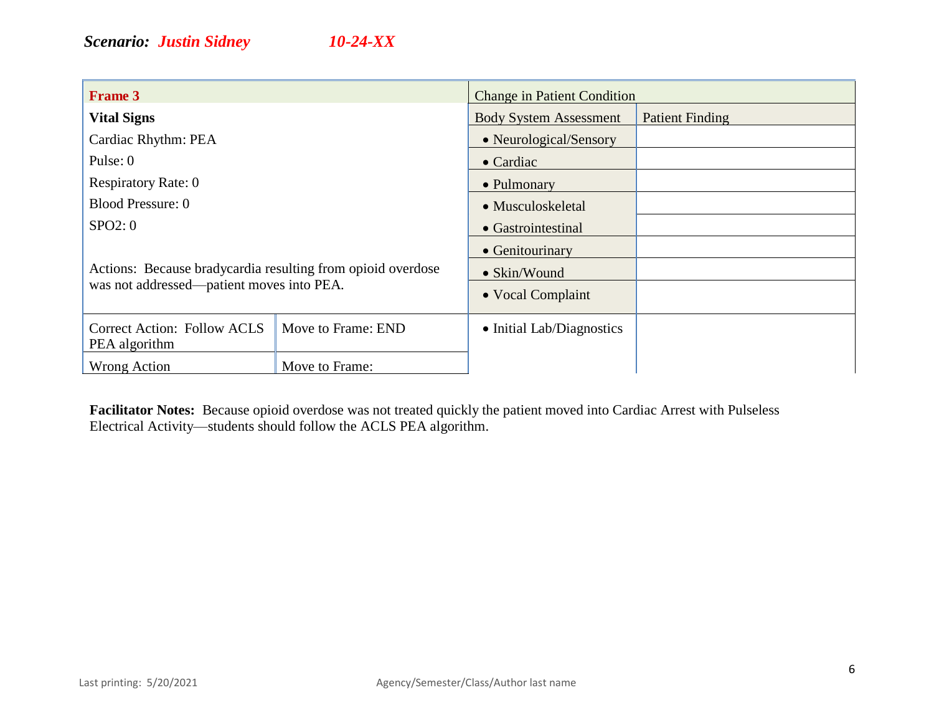| <b>Frame 3</b>                                              |                    | <b>Change in Patient Condition</b> |                        |
|-------------------------------------------------------------|--------------------|------------------------------------|------------------------|
| <b>Vital Signs</b>                                          |                    | <b>Body System Assessment</b>      | <b>Patient Finding</b> |
| Cardiac Rhythm: PEA                                         |                    | • Neurological/Sensory             |                        |
| Pulse: 0                                                    |                    | $\bullet$ Cardiac                  |                        |
| <b>Respiratory Rate: 0</b>                                  |                    | • Pulmonary                        |                        |
| <b>Blood Pressure: 0</b>                                    |                    | • Musculoskeletal                  |                        |
| SPO2:0                                                      |                    | • Gastrointestinal                 |                        |
|                                                             |                    | • Genitourinary                    |                        |
| Actions: Because bradycardia resulting from opioid overdose |                    | $\bullet$ Skin/Wound               |                        |
| was not addressed—patient moves into PEA.                   |                    | • Vocal Complaint                  |                        |
| <b>Correct Action: Follow ACLS</b><br>PEA algorithm         | Move to Frame: END | • Initial Lab/Diagnostics          |                        |
| Wrong Action                                                | Move to Frame:     |                                    |                        |

**Facilitator Notes:** Because opioid overdose was not treated quickly the patient moved into Cardiac Arrest with Pulseless Electrical Activity—students should follow the ACLS PEA algorithm.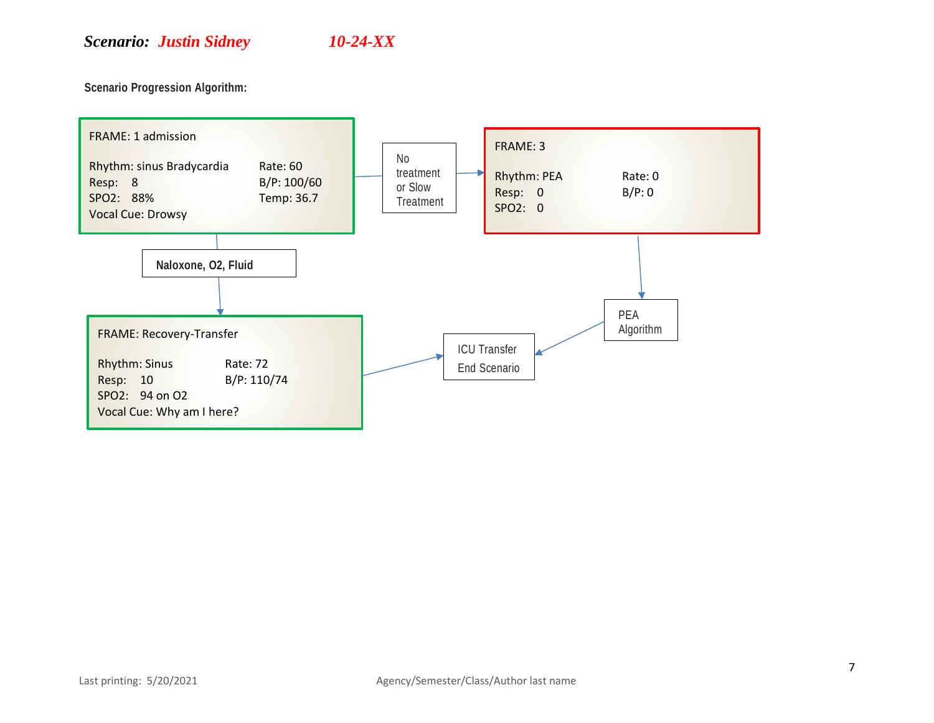**Scenario Progression Algorithm:** 

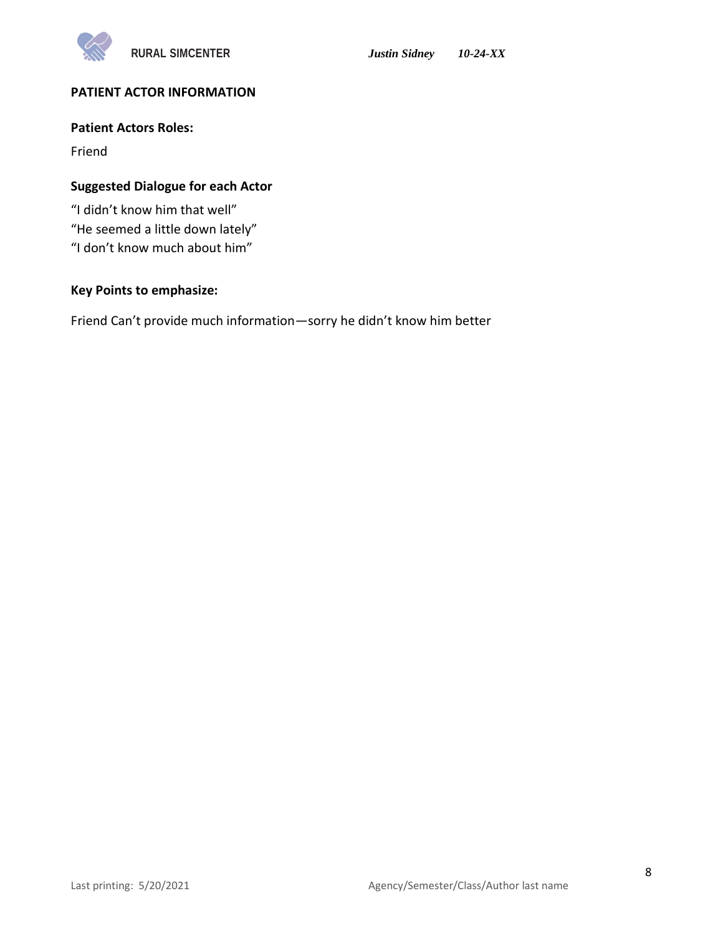

# **PATIENT ACTOR INFORMATION**

### **Patient Actors Roles:**

Friend

### **Suggested Dialogue for each Actor**

"I didn't know him that well" "He seemed a little down lately" "I don't know much about him"

# **Key Points to emphasize:**

Friend Can't provide much information—sorry he didn't know him better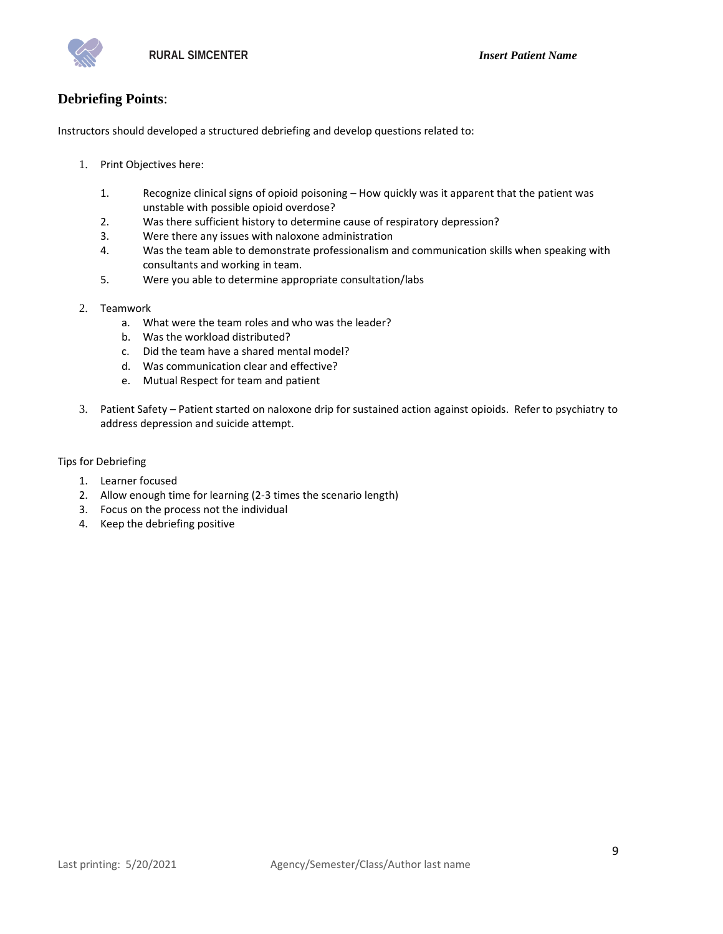# **Debriefing Points**:

Instructors should developed a structured debriefing and develop questions related to:

- 1. Print Objectives here:
	- 1. Recognize clinical signs of opioid poisoning How quickly was it apparent that the patient was unstable with possible opioid overdose?
	- 2. Was there sufficient history to determine cause of respiratory depression?
	- 3. Were there any issues with naloxone administration
	- 4. Was the team able to demonstrate professionalism and communication skills when speaking with consultants and working in team.
	- 5. Were you able to determine appropriate consultation/labs
- 2. Teamwork
	- a. What were the team roles and who was the leader?
	- b. Was the workload distributed?
	- c. Did the team have a shared mental model?
	- d. Was communication clear and effective?
	- e. Mutual Respect for team and patient
- 3. Patient Safety Patient started on naloxone drip for sustained action against opioids. Refer to psychiatry to address depression and suicide attempt.

### Tips for Debriefing

- 1. Learner focused
- 2. Allow enough time for learning (2-3 times the scenario length)
- 3. Focus on the process not the individual
- 4. Keep the debriefing positive